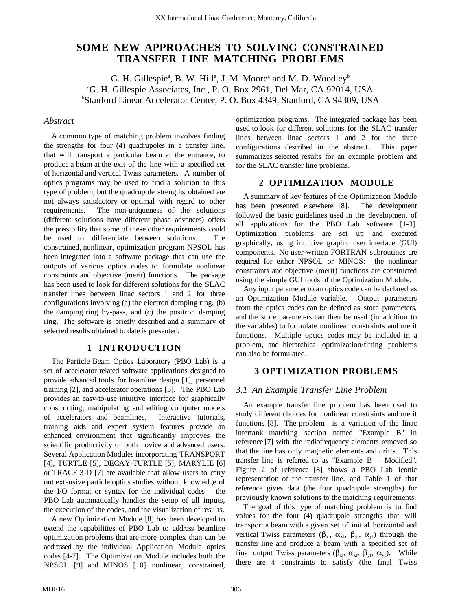# **SOME NEW APPROACHES TO SOLVING CONSTRAINED TRANSFER LINE MATCHING PROBLEMS**

G. H. Gillespie<sup>a</sup>, B. W. Hill<sup>a</sup>, J. M. Moore<sup>a</sup> and M. D. Woodley<sup>b</sup> a G. H. Gillespie Associates, Inc., P. O. Box 2961, Del Mar, CA 92014, USA b Stanford Linear Accelerator Center, P. O. Box 4349, Stanford, CA 94309, USA

#### *Abstract*

A common type of matching problem involves finding the strengths for four (4) quadrupoles in a transfer line, that will transport a particular beam at the entrance, to produce a beam at the exit of the line with a specified set of horizontal and vertical Twiss parameters. A number of optics programs may be used to find a solution to this type of problem, but the quadrupole strengths obtained are not always satisfactory or optimal with regard to other requirements. The non-uniqueness of the solutions (different solutions have different phase advances) offers the possibility that some of these other requirements could be used to differentiate between solutions. The constrained, nonlinear, optimization program NPSOL has been integrated into a software package that can use the outputs of various optics codes to formulate nonlinear constraints and objective (merit) functions. The package has been used to look for different solutions for the SLAC transfer lines between linac sectors 1 and 2 for three configurations involving (a) the electron damping ring, (b) the damping ring by-pass, and (c) the positron damping ring. The software is briefly described and a summary of selected results obtained to date is presented.

#### **1 INTRODUCTION**

The Particle Beam Optics Laboratory (PBO Lab) is a set of accelerator related software applications designed to provide advanced tools for beamline design [1], personnel training [2], and accelerator operations [3]. The PBO Lab provides an easy-to-use intuitive interface for graphically constructing, manipulating and editing computer models of accelerators and beamlines. Interactive tutorials, training aids and expert system features provide an enhanced environment that significantly improves the scientific productivity of both novice and advanced users. Several Application Modules incorporating TRANSPORT [4], TURTLE [5], DECAY-TURTLE [5], MARYLIE [6] or TRACE 3-D [7] are available that allow users to carry out extensive particle optics studies without knowledge of the I/O format or syntax for the individual codes – the PBO Lab automatically handles the setup of all inputs, the execution of the codes, and the visualization of results.

A new Optimization Module [8] has been developed to extend the capabilities of PBO Lab to address beamline optimization problems that are more complex than can be addressed by the individual Application Module optics codes [4-7]. The Optimization Module includes both the NPSOL [9] and MINOS [10] nonlinear, constrained,

optimization programs. The integrated package has been used to look for different solutions for the SLAC transfer lines between linac sectors 1 and 2 for the three configurations described in the abstract. This paper summarizes selected results for an example problem and for the SLAC transfer line problems.

## **2 OPTIMIZATION MODULE**

A summary of key features of the Optimization Module has been presented elsewhere [8]. The development followed the basic guidelines used in the development of all applications for the PBO Lab software [1-3]. Optimization problems are set up and executed graphically, using intuitive graphic user interface (GUI) components. No user-written FORTRAN subroutines are required for either NPSOL or MINOS: the nonlinear constraints and objective (merit) functions are constructed using the simple GUI tools of the Optimization Module.

Any input parameter to an optics code can be declared as an Optimization Module variable. Output parameters from the optics codes can be defined as store parameters, and the store parameters can then be used (in addition to the variables) to formulate nonlinear constraints and merit functions. Multiple optics codes may be included in a problem, and hierarchical optimization/fitting problems can also be formulated.

## **3 OPTIMIZATION PROBLEMS**

#### *3.1 An Example Transfer Line Problem*

An example transfer line problem has been used to study different choices for nonlinear constraints and merit functions [8]. The problem is a variation of the linac intertank matching section named "Example B" in reference [7] with the radiofrequency elements removed so that the line has only magnetic elements and drifts. This transfer line is referred to as "Example B – Modified". Figure 2 of reference [8] shows a PBO Lab iconic representation of the transfer line, and Table 1 of that reference gives data (the four quadrupole strengths) for previously known solutions to the matching requirements.

The goal of this type of matching problem is to find values for the four (4) quadrupole strengths that will transport a beam with a given set of initial horizontal and vertical Twiss parameters ( $\beta_{xi}$ ,  $\alpha_{xi}$ ,  $\beta_{yi}$ ,  $\alpha_{yi}$ ) through the transfer line and produce a beam with a specified set of final output Twiss parameters ( $\beta_{xf}$ ,  $\alpha_{xf}$ ,  $\beta_{yf}$ ,  $\alpha_{yf}$ ). While there are 4 constraints to satisfy (the final Twiss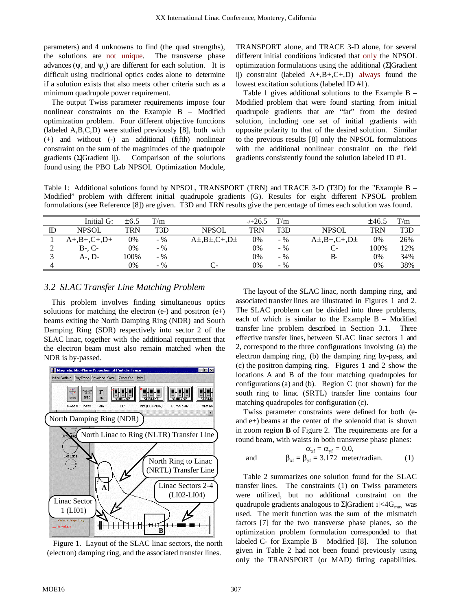parameters) and 4 unknowns to find (the quad strengths), the solutions are not unique. The transverse phase advances ( $\psi$ , and  $\psi$ ) are different for each solution. It is difficult using traditional optics codes alone to determine if a solution exists that also meets other criteria such as a minimum quadrupole power requirement.

The output Twiss parameter requirements impose four nonlinear constraints on the Example B – Modified optimization problem. Four different objective functions (labeled A,B,C,D) were studied previously [8], both with (+) and without (-) an additional (fifth) nonlinear constraint on the sum of the magnitudes of the quadrupole gradients  $(\Sigma | \text{Gradient ii})$ . Comparison of the solutions found using the PBO Lab NPSOL Optimization Module,

TRANSPORT alone, and TRACE 3-D alone, for several different initial conditions indicated that only the NPSOL optimization formulations using the additional (Σ|Gradient i) constraint (labeled  $A+, B+, C+, D$ ) always found the lowest excitation solutions (labeled ID #1).

Table 1 gives additional solutions to the Example B – Modified problem that were found starting from initial quadrupole gradients that are "far" from the desired solution, including one set of initial gradients with opposite polarity to that of the desired solution. Similar to the previous results [8] only the NPSOL formulations with the additional nonlinear constraint on the field gradients consistently found the solution labeled ID #1.

Table 1: Additional solutions found by NPSOL, TRANSPORT (TRN) and TRACE 3-D (T3D) for the "Example B – Modified" problem with different initial quadrupole gradients (G). Results for eight different NPSOL problem formulations (see Reference [8]) are given. T3D and TRN results give the percentage of times each solution was found.

|    | Initial G:       | $\pm 6.5$ | T/m   |                     | $-1+26.5$ | T/m   |                        | ±46.5      | T/m |
|----|------------------|-----------|-------|---------------------|-----------|-------|------------------------|------------|-----|
| ID | <b>NPSOL</b>     | TRN       | T3D   | <b>NPSOL</b>        | TRN       | T3D   | <b>NPSOL</b>           | <b>TRN</b> | T3D |
|    | $A+, B+, C+, D+$ | 0%        | $-$ % | $A\pm B\pm C+ D\pm$ | 0%        | $-$ % | $A\pm B+A+C+$ , $D\pm$ | 0%         | 26% |
|    | $B-. C-$         | 0%        | $-96$ |                     | 0%        | $-$ % | $C-$                   | 100%       | 12% |
|    | A-. D-           | 100%      | $-96$ |                     | 0%        | $-$ % | B-                     | 0%         | 34% |
| 4  |                  | 0%        | $-$ % | C-                  | 0%        | $-$ % |                        | 0%         | 38% |

# *3.2 SLAC Transfer Line Matching Problem*

This problem involves finding simultaneous optics solutions for matching the electron  $(e)$  and positron  $(e+)$ beams exiting the North Damping Ring (NDR) and South Damping Ring (SDR) respectively into sector 2 of the SLAC linac, together with the additional requirement that the electron beam must also remain matched when the NDR is by-passed.



Figure 1. Layout of the SLAC linac sectors, the north (electron) damping ring, and the associated transfer lines.

The layout of the SLAC linac, north damping ring, and associated transfer lines are illustrated in Figures 1 and 2. The SLAC problem can be divided into three problems, each of which is similar to the Example B – Modified transfer line problem described in Section 3.1. Three effective transfer lines, between SLAC linac sectors 1 and 2, correspond to the three configurations involving (a) the electron damping ring, (b) the damping ring by-pass, and (c) the positron damping ring. Figures 1 and 2 show the locations A and B of the four matching quadrupoles for configurations (a) and (b). Region C (not shown) for the south ring to linac (SRTL) transfer line contains four matching quadrupoles for configuration (c).

Twiss parameter constraints were defined for both (eand e+) beams at the center of the solenoid that is shown in zoom region **B** of Figure 2. The requirements are for a round beam, with waists in both transverse phase planes:

$$
\alpha_{xf} = \alpha_{yf} = 0.0,
$$
  
and 
$$
\beta_{xf} = \beta_{yf} = 3.172 \text{ meter/radian.}
$$
 (1)

Table 2 summarizes one solution found for the SLAC transfer lines. The constraints (1) on Twiss parameters were utilized, but no additional constraint on the quadrupole gradients analogous to  $\Sigma$ |Gradient i|<4G<sub>max</sub> was used. The merit function was the sum of the mismatch factors [7] for the two transverse phase planes, so the optimization problem formulation corresponded to that labeled  $C$ - for Example  $B$  – Modified [8]. The solution given in Table 2 had not been found previously using only the TRANSPORT (or MAD) fitting capabilities.